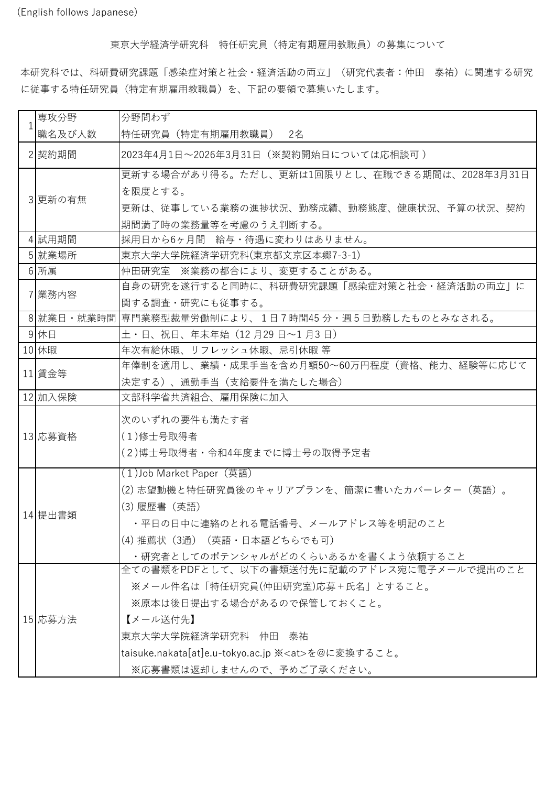(English follows Japanese)

東京大学経済学研究科 特任研究員(特定有期雇用教職員)の募集について

本研究科では、科研費研究課題「感染症対策と社会・経済活動の両立」(研究代表者:仲田 泰祐)に関連する研究 に従事する特任研究員(特定有期雇用教職員)を、下記の要領で募集いたします。

|  | 専攻分野    | 分野問わず                                                   |
|--|---------|---------------------------------------------------------|
|  | 職名及び人数  | 特任研究員(特定有期雇用教職員) 2名                                     |
|  | 2 契約期間  | 2023年4月1日~2026年3月31日(※契約開始日については応相談可)                   |
|  | 3 更新の有無 | 更新する場合があり得る。ただし、更新は1回限りとし、在職できる期間は、2028年3月31日           |
|  |         | を限度とする。                                                 |
|  |         | 更新は、従事している業務の進捗状況、勤務成績、勤務態度、健康状況、予算の状況、契約               |
|  |         | 期間満了時の業務量等を考慮のうえ判断する。                                   |
|  | 4試用期間   | 採用日から6ヶ月間 給与・待遇に変わりはありません。                              |
|  | 5 就業場所  | 東京大学大学院経済学研究科(東京都文京区本郷7-3-1)                            |
|  | 6 所属    | 仲田研究室 ※業務の都合により、変更することがある。                              |
|  | 7 業務内容  | 自身の研究を遂行すると同時に、科研費研究課題「感染症対策と社会・経済活動の両立」に               |
|  |         | 関する調査・研究にも従事する。                                         |
|  |         | 8 就業日・就業時間  専門業務型裁量労働制により、1日7時間45 分・週5日勤務したものとみなされる。    |
|  | 9 休日    | 土・日、祝日、年末年始(12月29日~1月3日)                                |
|  | 10 休暇   | 年次有給休暇、リフレッシュ休暇、忌引休暇 等                                  |
|  | 11 賃金等  | 年俸制を適用し、業績・成果手当を含め月額50~60万円程度(資格、能力、経験等に応じて             |
|  |         | 決定する)、通勤手当(支給要件を満たした場合)                                 |
|  | 12 加入保険 | 文部科学省共済組合、雇用保険に加入                                       |
|  |         |                                                         |
|  |         | 次のいずれの要件も満たす者                                           |
|  | 13 応募資格 | (1)修士号取得者                                               |
|  |         | (2)博士号取得者・令和4年度までに博士号の取得予定者                             |
|  |         | (1) Job Market Paper (英語)                               |
|  |         | (2)志望動機と特任研究員後のキャリアプランを、簡潔に書いたカバーレター(英語)。               |
|  |         | (3) 履歴書(英語)                                             |
|  | 14 提出書類 | ・平日の日中に連絡のとれる電話番号、メールアドレス等を明記のこと                        |
|  |         | (4)推薦状(3通)(英語・日本語どちらでも可)                                |
|  |         | ・研究者としてのポテンシャルがどのくらいあるかを書くよう依頼すること                      |
|  |         | 全ての書類をPDFとして、以下の書類送付先に記載のアドレス宛に電子メールで提出のこと              |
|  |         | ※メール件名は「特任研究員(仲田研究室)応募+氏名」とすること。                        |
|  |         | ※原本は後日提出する場合があるので保管しておくこと。                              |
|  | 15 応募方法 | 【メール送付先】                                                |
|  |         | 東京大学大学院経済学研究科 仲田 泰祐                                     |
|  |         | taisuke.nakata[at]e.u-tokyo.ac.jp ※ <at>を@に変換すること。</at> |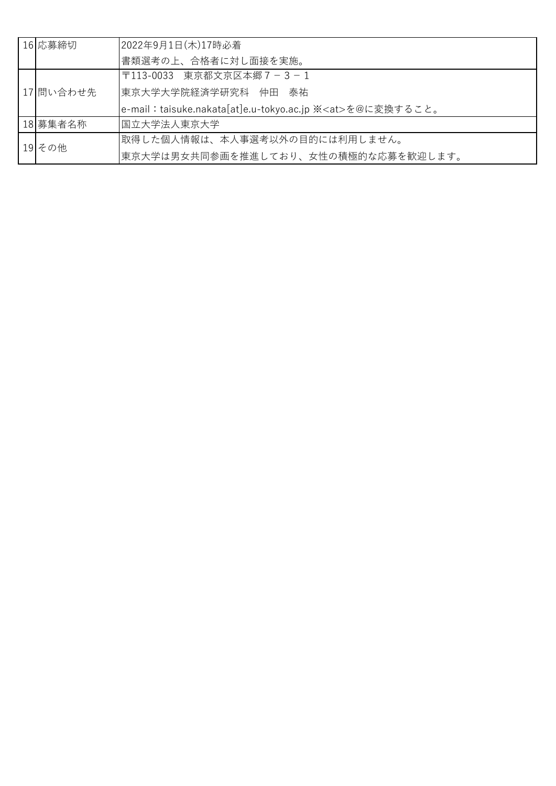| 16 応募締切   | 2022年9月1日(木)17時必着                                              |
|-----------|----------------------------------------------------------------|
|           | 書類選考の上、合格者に対し面接を実施。                                            |
| 17 問い合わせ先 | 〒113-0033 東京都文京区本郷7-3-1                                        |
|           | 東京大学大学院経済学研究科 仲田 泰祐                                            |
|           | e-mail:taisuke.nakata[at]e.u-tokyo.ac.jp ※ <at>を@に変換すること。</at> |
| 18 募集者名称  | 国立大学法人東京大学                                                     |
| 19 その他    | 取得した個人情報は、本人事選考以外の目的には利用しません。                                  |
|           | 東京大学は男女共同参画を推進しており、女性の積極的な応募を歓迎します。                            |